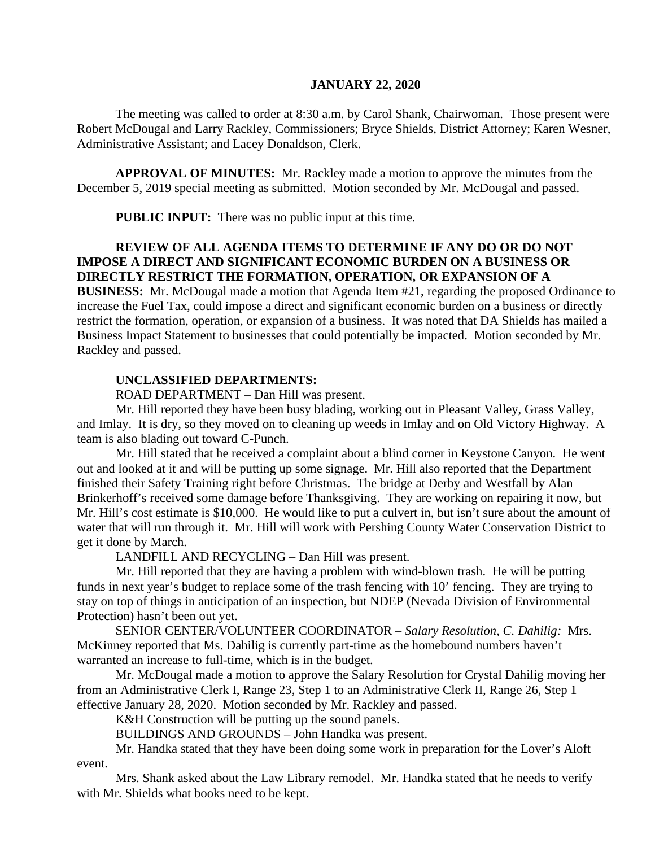## **JANUARY 22, 2020**

The meeting was called to order at 8:30 a.m. by Carol Shank, Chairwoman. Those present were Robert McDougal and Larry Rackley, Commissioners; Bryce Shields, District Attorney; Karen Wesner, Administrative Assistant; and Lacey Donaldson, Clerk.

**APPROVAL OF MINUTES:** Mr. Rackley made a motion to approve the minutes from the December 5, 2019 special meeting as submitted. Motion seconded by Mr. McDougal and passed.

 **PUBLIC INPUT:** There was no public input at this time.

# **REVIEW OF ALL AGENDA ITEMS TO DETERMINE IF ANY DO OR DO NOT IMPOSE A DIRECT AND SIGNIFICANT ECONOMIC BURDEN ON A BUSINESS OR DIRECTLY RESTRICT THE FORMATION, OPERATION, OR EXPANSION OF A**

**BUSINESS:** Mr. McDougal made a motion that Agenda Item #21, regarding the proposed Ordinance to increase the Fuel Tax, could impose a direct and significant economic burden on a business or directly restrict the formation, operation, or expansion of a business. It was noted that DA Shields has mailed a Business Impact Statement to businesses that could potentially be impacted. Motion seconded by Mr. Rackley and passed.

## **UNCLASSIFIED DEPARTMENTS:**

ROAD DEPARTMENT – Dan Hill was present.

Mr. Hill reported they have been busy blading, working out in Pleasant Valley, Grass Valley, and Imlay. It is dry, so they moved on to cleaning up weeds in Imlay and on Old Victory Highway. A team is also blading out toward C-Punch.

Mr. Hill stated that he received a complaint about a blind corner in Keystone Canyon. He went out and looked at it and will be putting up some signage. Mr. Hill also reported that the Department finished their Safety Training right before Christmas. The bridge at Derby and Westfall by Alan Brinkerhoff's received some damage before Thanksgiving. They are working on repairing it now, but Mr. Hill's cost estimate is \$10,000. He would like to put a culvert in, but isn't sure about the amount of water that will run through it. Mr. Hill will work with Pershing County Water Conservation District to get it done by March.

LANDFILL AND RECYCLING – Dan Hill was present.

Mr. Hill reported that they are having a problem with wind-blown trash. He will be putting funds in next year's budget to replace some of the trash fencing with 10' fencing. They are trying to stay on top of things in anticipation of an inspection, but NDEP (Nevada Division of Environmental Protection) hasn't been out yet.

SENIOR CENTER/VOLUNTEER COORDINATOR – *Salary Resolution, C. Dahilig:* Mrs. McKinney reported that Ms. Dahilig is currently part-time as the homebound numbers haven't warranted an increase to full-time, which is in the budget.

Mr. McDougal made a motion to approve the Salary Resolution for Crystal Dahilig moving her from an Administrative Clerk I, Range 23, Step 1 to an Administrative Clerk II, Range 26, Step 1 effective January 28, 2020. Motion seconded by Mr. Rackley and passed.

K&H Construction will be putting up the sound panels.

BUILDINGS AND GROUNDS – John Handka was present.

Mr. Handka stated that they have been doing some work in preparation for the Lover's Aloft event.

Mrs. Shank asked about the Law Library remodel. Mr. Handka stated that he needs to verify with Mr. Shields what books need to be kept.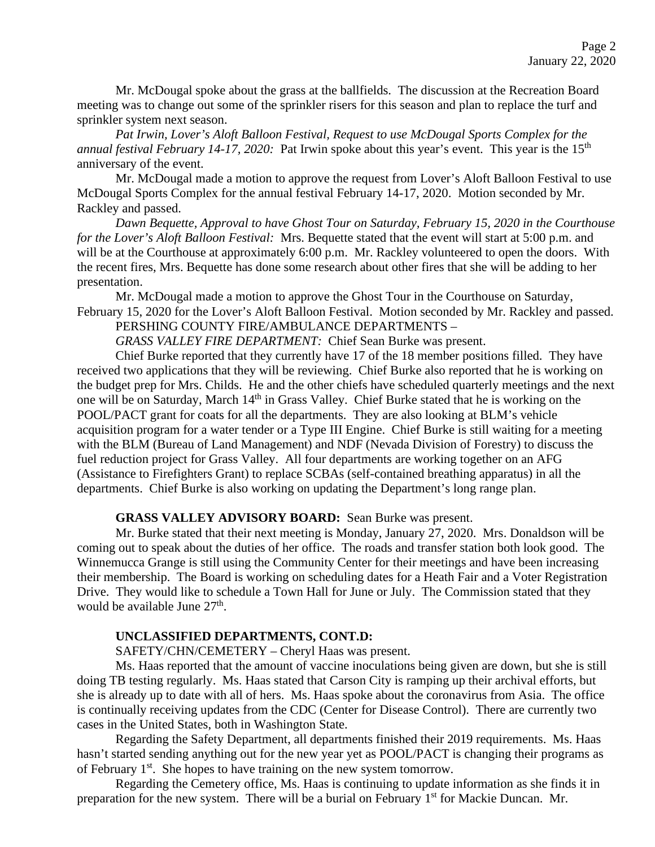Mr. McDougal spoke about the grass at the ballfields. The discussion at the Recreation Board meeting was to change out some of the sprinkler risers for this season and plan to replace the turf and sprinkler system next season.

*Pat Irwin, Lover's Aloft Balloon Festival, Request to use McDougal Sports Complex for the annual festival February 14-17, 2020:* Pat Irwin spoke about this year's event. This year is the 15<sup>th</sup> anniversary of the event.

Mr. McDougal made a motion to approve the request from Lover's Aloft Balloon Festival to use McDougal Sports Complex for the annual festival February 14-17, 2020. Motion seconded by Mr. Rackley and passed.

*Dawn Bequette, Approval to have Ghost Tour on Saturday, February 15, 2020 in the Courthouse for the Lover's Aloft Balloon Festival:* Mrs. Bequette stated that the event will start at 5:00 p.m. and will be at the Courthouse at approximately 6:00 p.m. Mr. Rackley volunteered to open the doors. With the recent fires, Mrs. Bequette has done some research about other fires that she will be adding to her presentation.

Mr. McDougal made a motion to approve the Ghost Tour in the Courthouse on Saturday, February 15, 2020 for the Lover's Aloft Balloon Festival. Motion seconded by Mr. Rackley and passed.

PERSHING COUNTY FIRE/AMBULANCE DEPARTMENTS –

*GRASS VALLEY FIRE DEPARTMENT:* Chief Sean Burke was present.

Chief Burke reported that they currently have 17 of the 18 member positions filled. They have received two applications that they will be reviewing. Chief Burke also reported that he is working on the budget prep for Mrs. Childs. He and the other chiefs have scheduled quarterly meetings and the next one will be on Saturday, March 14<sup>th</sup> in Grass Valley. Chief Burke stated that he is working on the POOL/PACT grant for coats for all the departments. They are also looking at BLM's vehicle acquisition program for a water tender or a Type III Engine. Chief Burke is still waiting for a meeting with the BLM (Bureau of Land Management) and NDF (Nevada Division of Forestry) to discuss the fuel reduction project for Grass Valley. All four departments are working together on an AFG (Assistance to Firefighters Grant) to replace SCBAs (self-contained breathing apparatus) in all the departments. Chief Burke is also working on updating the Department's long range plan.

#### **GRASS VALLEY ADVISORY BOARD:** Sean Burke was present.

Mr. Burke stated that their next meeting is Monday, January 27, 2020. Mrs. Donaldson will be coming out to speak about the duties of her office. The roads and transfer station both look good. The Winnemucca Grange is still using the Community Center for their meetings and have been increasing their membership. The Board is working on scheduling dates for a Heath Fair and a Voter Registration Drive. They would like to schedule a Town Hall for June or July. The Commission stated that they would be available June 27<sup>th</sup>.

#### **UNCLASSIFIED DEPARTMENTS, CONT.D:**

SAFETY/CHN/CEMETERY – Cheryl Haas was present.

Ms. Haas reported that the amount of vaccine inoculations being given are down, but she is still doing TB testing regularly. Ms. Haas stated that Carson City is ramping up their archival efforts, but she is already up to date with all of hers. Ms. Haas spoke about the coronavirus from Asia. The office is continually receiving updates from the CDC (Center for Disease Control). There are currently two cases in the United States, both in Washington State.

Regarding the Safety Department, all departments finished their 2019 requirements. Ms. Haas hasn't started sending anything out for the new year yet as POOL/PACT is changing their programs as of February  $1<sup>st</sup>$ . She hopes to have training on the new system tomorrow.

Regarding the Cemetery office, Ms. Haas is continuing to update information as she finds it in preparation for the new system. There will be a burial on February 1<sup>st</sup> for Mackie Duncan. Mr.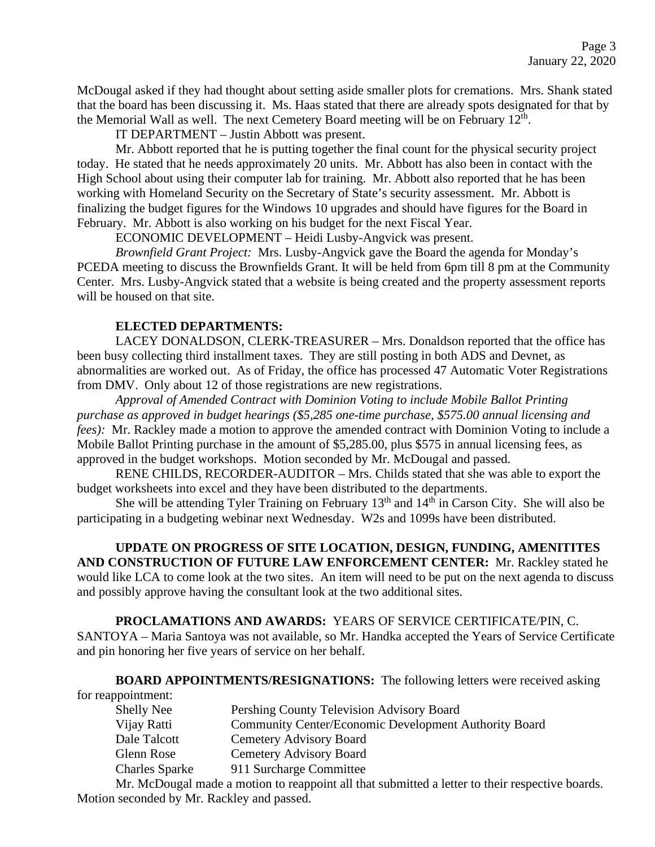McDougal asked if they had thought about setting aside smaller plots for cremations. Mrs. Shank stated that the board has been discussing it. Ms. Haas stated that there are already spots designated for that by the Memorial Wall as well. The next Cemetery Board meeting will be on February  $12<sup>th</sup>$ .

IT DEPARTMENT – Justin Abbott was present.

Mr. Abbott reported that he is putting together the final count for the physical security project today. He stated that he needs approximately 20 units. Mr. Abbott has also been in contact with the High School about using their computer lab for training. Mr. Abbott also reported that he has been working with Homeland Security on the Secretary of State's security assessment. Mr. Abbott is finalizing the budget figures for the Windows 10 upgrades and should have figures for the Board in February. Mr. Abbott is also working on his budget for the next Fiscal Year.

ECONOMIC DEVELOPMENT – Heidi Lusby-Angvick was present.

*Brownfield Grant Project:* Mrs. Lusby-Angvick gave the Board the agenda for Monday's PCEDA meeting to discuss the Brownfields Grant. It will be held from 6pm till 8 pm at the Community Center. Mrs. Lusby-Angvick stated that a website is being created and the property assessment reports will be housed on that site.

## **ELECTED DEPARTMENTS:**

LACEY DONALDSON, CLERK-TREASURER – Mrs. Donaldson reported that the office has been busy collecting third installment taxes. They are still posting in both ADS and Devnet, as abnormalities are worked out. As of Friday, the office has processed 47 Automatic Voter Registrations from DMV. Only about 12 of those registrations are new registrations.

*Approval of Amended Contract with Dominion Voting to include Mobile Ballot Printing purchase as approved in budget hearings (\$5,285 one-time purchase, \$575.00 annual licensing and fees*): Mr. Rackley made a motion to approve the amended contract with Dominion Voting to include a Mobile Ballot Printing purchase in the amount of \$5,285.00, plus \$575 in annual licensing fees, as approved in the budget workshops. Motion seconded by Mr. McDougal and passed.

RENE CHILDS, RECORDER-AUDITOR – Mrs. Childs stated that she was able to export the budget worksheets into excel and they have been distributed to the departments.

She will be attending Tyler Training on February  $13<sup>th</sup>$  and  $14<sup>th</sup>$  in Carson City. She will also be participating in a budgeting webinar next Wednesday. W2s and 1099s have been distributed.

# **UPDATE ON PROGRESS OF SITE LOCATION, DESIGN, FUNDING, AMENITITES AND CONSTRUCTION OF FUTURE LAW ENFORCEMENT CENTER:** Mr. Rackley stated he would like LCA to come look at the two sites. An item will need to be put on the next agenda to discuss

and possibly approve having the consultant look at the two additional sites. **PROCLAMATIONS AND AWARDS:** YEARS OF SERVICE CERTIFICATE/PIN, C.

SANTOYA – Maria Santoya was not available, so Mr. Handka accepted the Years of Service Certificate and pin honoring her five years of service on her behalf.

**BOARD APPOINTMENTS/RESIGNATIONS:** The following letters were received asking

for reappointment:

| <b>Shelly Nee</b>         | Pershing County Television Advisory Board                                                                                                                                                                                                                                                                     |
|---------------------------|---------------------------------------------------------------------------------------------------------------------------------------------------------------------------------------------------------------------------------------------------------------------------------------------------------------|
| Vijay Ratti               | <b>Community Center/Economic Development Authority Board</b>                                                                                                                                                                                                                                                  |
| Dale Talcott              | Cemetery Advisory Board                                                                                                                                                                                                                                                                                       |
| Glenn Rose                | Cemetery Advisory Board                                                                                                                                                                                                                                                                                       |
| <b>Charles Sparke</b>     | 911 Surcharge Committee                                                                                                                                                                                                                                                                                       |
| $\mathbf{v}$ $\mathbf{v}$ | $\mathbf{1}$ , and $\mathbf{1}$ , $\mathbf{1}$ , $\mathbf{1}$ , $\mathbf{1}$ , $\mathbf{1}$ , $\mathbf{1}$ , $\mathbf{1}$ , $\mathbf{1}$ , $\mathbf{1}$ , $\mathbf{1}$ , $\mathbf{1}$ , $\mathbf{1}$ , $\mathbf{1}$ , $\mathbf{1}$ , $\mathbf{1}$ , $\mathbf{1}$ , $\mathbf{1}$ , $\mathbf{1}$ , $\mathbf{1}$ |

Mr. McDougal made a motion to reappoint all that submitted a letter to their respective boards. Motion seconded by Mr. Rackley and passed.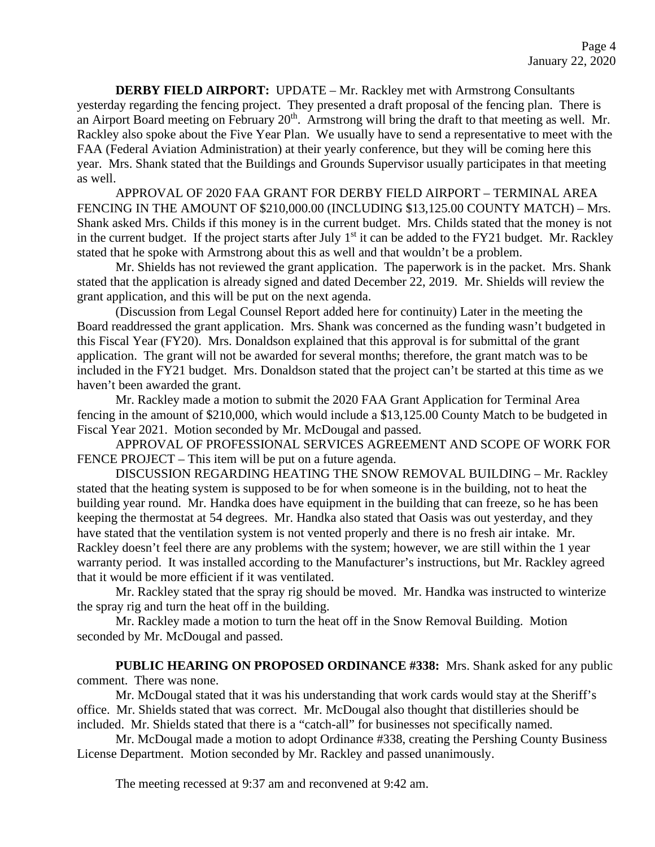**DERBY FIELD AIRPORT:** UPDATE – Mr. Rackley met with Armstrong Consultants yesterday regarding the fencing project. They presented a draft proposal of the fencing plan. There is an Airport Board meeting on February 20<sup>th</sup>. Armstrong will bring the draft to that meeting as well. Mr. Rackley also spoke about the Five Year Plan. We usually have to send a representative to meet with the FAA (Federal Aviation Administration) at their yearly conference, but they will be coming here this year. Mrs. Shank stated that the Buildings and Grounds Supervisor usually participates in that meeting as well.

APPROVAL OF 2020 FAA GRANT FOR DERBY FIELD AIRPORT – TERMINAL AREA FENCING IN THE AMOUNT OF \$210,000.00 (INCLUDING \$13,125.00 COUNTY MATCH) – Mrs. Shank asked Mrs. Childs if this money is in the current budget. Mrs. Childs stated that the money is not in the current budget. If the project starts after July  $1<sup>st</sup>$  it can be added to the FY21 budget. Mr. Rackley stated that he spoke with Armstrong about this as well and that wouldn't be a problem.

Mr. Shields has not reviewed the grant application. The paperwork is in the packet. Mrs. Shank stated that the application is already signed and dated December 22, 2019. Mr. Shields will review the grant application, and this will be put on the next agenda.

(Discussion from Legal Counsel Report added here for continuity) Later in the meeting the Board readdressed the grant application. Mrs. Shank was concerned as the funding wasn't budgeted in this Fiscal Year (FY20). Mrs. Donaldson explained that this approval is for submittal of the grant application. The grant will not be awarded for several months; therefore, the grant match was to be included in the FY21 budget. Mrs. Donaldson stated that the project can't be started at this time as we haven't been awarded the grant.

Mr. Rackley made a motion to submit the 2020 FAA Grant Application for Terminal Area fencing in the amount of \$210,000, which would include a \$13,125.00 County Match to be budgeted in Fiscal Year 2021. Motion seconded by Mr. McDougal and passed.

APPROVAL OF PROFESSIONAL SERVICES AGREEMENT AND SCOPE OF WORK FOR FENCE PROJECT – This item will be put on a future agenda.

DISCUSSION REGARDING HEATING THE SNOW REMOVAL BUILDING – Mr. Rackley stated that the heating system is supposed to be for when someone is in the building, not to heat the building year round. Mr. Handka does have equipment in the building that can freeze, so he has been keeping the thermostat at 54 degrees. Mr. Handka also stated that Oasis was out yesterday, and they have stated that the ventilation system is not vented properly and there is no fresh air intake. Mr. Rackley doesn't feel there are any problems with the system; however, we are still within the 1 year warranty period. It was installed according to the Manufacturer's instructions, but Mr. Rackley agreed that it would be more efficient if it was ventilated.

Mr. Rackley stated that the spray rig should be moved. Mr. Handka was instructed to winterize the spray rig and turn the heat off in the building.

Mr. Rackley made a motion to turn the heat off in the Snow Removal Building. Motion seconded by Mr. McDougal and passed.

**PUBLIC HEARING ON PROPOSED ORDINANCE #338:** Mrs. Shank asked for any public comment. There was none.

Mr. McDougal stated that it was his understanding that work cards would stay at the Sheriff's office. Mr. Shields stated that was correct. Mr. McDougal also thought that distilleries should be included. Mr. Shields stated that there is a "catch-all" for businesses not specifically named.

Mr. McDougal made a motion to adopt Ordinance #338, creating the Pershing County Business License Department. Motion seconded by Mr. Rackley and passed unanimously.

The meeting recessed at 9:37 am and reconvened at 9:42 am.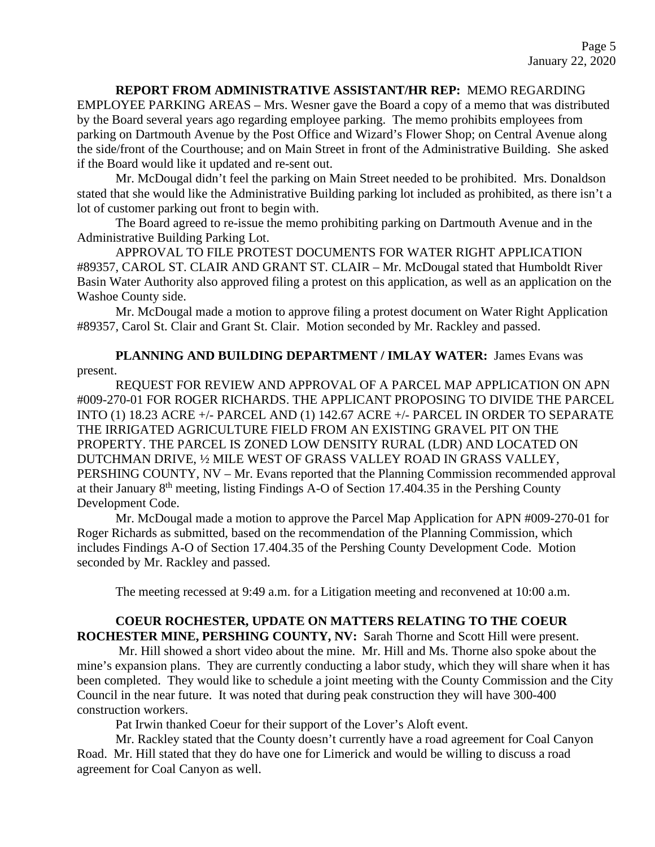## **REPORT FROM ADMINISTRATIVE ASSISTANT/HR REP:** MEMO REGARDING

EMPLOYEE PARKING AREAS – Mrs. Wesner gave the Board a copy of a memo that was distributed by the Board several years ago regarding employee parking. The memo prohibits employees from parking on Dartmouth Avenue by the Post Office and Wizard's Flower Shop; on Central Avenue along the side/front of the Courthouse; and on Main Street in front of the Administrative Building. She asked if the Board would like it updated and re-sent out.

Mr. McDougal didn't feel the parking on Main Street needed to be prohibited. Mrs. Donaldson stated that she would like the Administrative Building parking lot included as prohibited, as there isn't a lot of customer parking out front to begin with.

The Board agreed to re-issue the memo prohibiting parking on Dartmouth Avenue and in the Administrative Building Parking Lot.

APPROVAL TO FILE PROTEST DOCUMENTS FOR WATER RIGHT APPLICATION #89357, CAROL ST. CLAIR AND GRANT ST. CLAIR – Mr. McDougal stated that Humboldt River Basin Water Authority also approved filing a protest on this application, as well as an application on the Washoe County side.

Mr. McDougal made a motion to approve filing a protest document on Water Right Application #89357, Carol St. Clair and Grant St. Clair. Motion seconded by Mr. Rackley and passed.

**PLANNING AND BUILDING DEPARTMENT / IMLAY WATER:** James Evans was present.

REQUEST FOR REVIEW AND APPROVAL OF A PARCEL MAP APPLICATION ON APN #009-270-01 FOR ROGER RICHARDS. THE APPLICANT PROPOSING TO DIVIDE THE PARCEL INTO (1) 18.23 ACRE +/- PARCEL AND (1) 142.67 ACRE +/- PARCEL IN ORDER TO SEPARATE THE IRRIGATED AGRICULTURE FIELD FROM AN EXISTING GRAVEL PIT ON THE PROPERTY. THE PARCEL IS ZONED LOW DENSITY RURAL (LDR) AND LOCATED ON DUTCHMAN DRIVE, ½ MILE WEST OF GRASS VALLEY ROAD IN GRASS VALLEY, PERSHING COUNTY, NV – Mr. Evans reported that the Planning Commission recommended approval at their January 8th meeting, listing Findings A-O of Section 17.404.35 in the Pershing County Development Code.

Mr. McDougal made a motion to approve the Parcel Map Application for APN #009-270-01 for Roger Richards as submitted, based on the recommendation of the Planning Commission, which includes Findings A-O of Section 17.404.35 of the Pershing County Development Code. Motion seconded by Mr. Rackley and passed.

The meeting recessed at 9:49 a.m. for a Litigation meeting and reconvened at 10:00 a.m.

## **COEUR ROCHESTER, UPDATE ON MATTERS RELATING TO THE COEUR ROCHESTER MINE, PERSHING COUNTY, NV:** Sarah Thorne and Scott Hill were present.

Mr. Hill showed a short video about the mine. Mr. Hill and Ms. Thorne also spoke about the mine's expansion plans. They are currently conducting a labor study, which they will share when it has been completed. They would like to schedule a joint meeting with the County Commission and the City Council in the near future. It was noted that during peak construction they will have 300-400 construction workers.

Pat Irwin thanked Coeur for their support of the Lover's Aloft event.

Mr. Rackley stated that the County doesn't currently have a road agreement for Coal Canyon Road. Mr. Hill stated that they do have one for Limerick and would be willing to discuss a road agreement for Coal Canyon as well.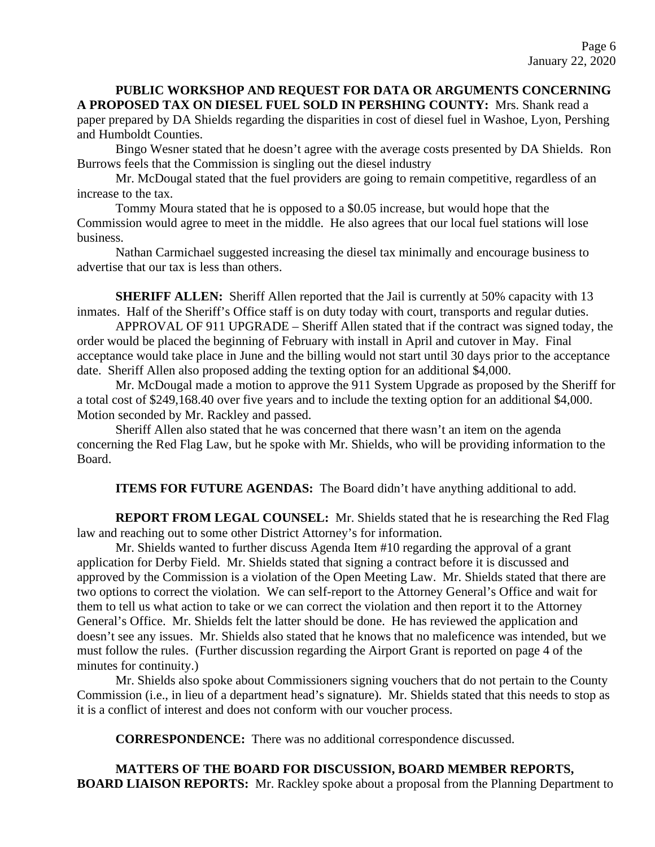**PUBLIC WORKSHOP AND REQUEST FOR DATA OR ARGUMENTS CONCERNING A PROPOSED TAX ON DIESEL FUEL SOLD IN PERSHING COUNTY:** Mrs. Shank read a paper prepared by DA Shields regarding the disparities in cost of diesel fuel in Washoe, Lyon, Pershing and Humboldt Counties.

Bingo Wesner stated that he doesn't agree with the average costs presented by DA Shields. Ron Burrows feels that the Commission is singling out the diesel industry

Mr. McDougal stated that the fuel providers are going to remain competitive, regardless of an increase to the tax.

Tommy Moura stated that he is opposed to a \$0.05 increase, but would hope that the Commission would agree to meet in the middle. He also agrees that our local fuel stations will lose business.

Nathan Carmichael suggested increasing the diesel tax minimally and encourage business to advertise that our tax is less than others.

**SHERIFF ALLEN:** Sheriff Allen reported that the Jail is currently at 50% capacity with 13 inmates. Half of the Sheriff's Office staff is on duty today with court, transports and regular duties.

APPROVAL OF 911 UPGRADE – Sheriff Allen stated that if the contract was signed today, the order would be placed the beginning of February with install in April and cutover in May. Final acceptance would take place in June and the billing would not start until 30 days prior to the acceptance date. Sheriff Allen also proposed adding the texting option for an additional \$4,000.

Mr. McDougal made a motion to approve the 911 System Upgrade as proposed by the Sheriff for a total cost of \$249,168.40 over five years and to include the texting option for an additional \$4,000. Motion seconded by Mr. Rackley and passed.

Sheriff Allen also stated that he was concerned that there wasn't an item on the agenda concerning the Red Flag Law, but he spoke with Mr. Shields, who will be providing information to the Board.

**ITEMS FOR FUTURE AGENDAS:** The Board didn't have anything additional to add.

**REPORT FROM LEGAL COUNSEL:** Mr. Shields stated that he is researching the Red Flag law and reaching out to some other District Attorney's for information.

Mr. Shields wanted to further discuss Agenda Item #10 regarding the approval of a grant application for Derby Field. Mr. Shields stated that signing a contract before it is discussed and approved by the Commission is a violation of the Open Meeting Law. Mr. Shields stated that there are two options to correct the violation. We can self-report to the Attorney General's Office and wait for them to tell us what action to take or we can correct the violation and then report it to the Attorney General's Office. Mr. Shields felt the latter should be done. He has reviewed the application and doesn't see any issues. Mr. Shields also stated that he knows that no maleficence was intended, but we must follow the rules. (Further discussion regarding the Airport Grant is reported on page 4 of the minutes for continuity.)

Mr. Shields also spoke about Commissioners signing vouchers that do not pertain to the County Commission (i.e., in lieu of a department head's signature). Mr. Shields stated that this needs to stop as it is a conflict of interest and does not conform with our voucher process.

**CORRESPONDENCE:** There was no additional correspondence discussed.

**MATTERS OF THE BOARD FOR DISCUSSION, BOARD MEMBER REPORTS, BOARD LIAISON REPORTS:** Mr. Rackley spoke about a proposal from the Planning Department to